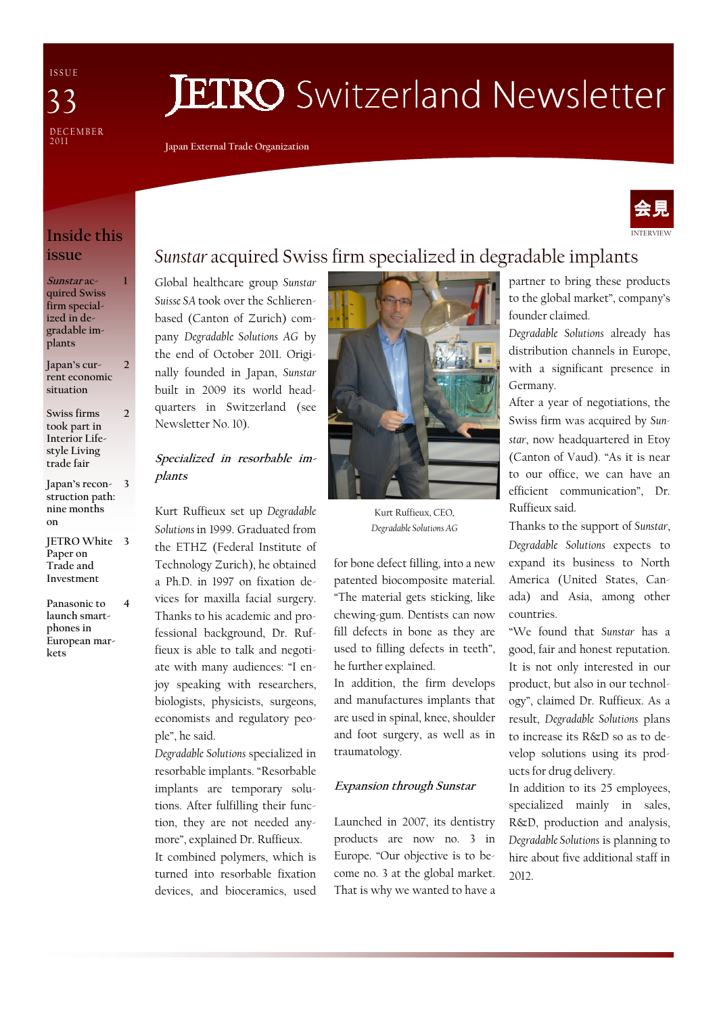I S S U E **DECEMBER** 2011 33

# **JETRO** Switzerland Newsletter

Japan External Trade Organization



## Inside this issue

1

2

Sunstar acquired Swiss firm specialized in degradable implants

Japan's current economic situation 2

Swiss firms took part in Interior Lifestyle Living trade fair

Japan's recon-3 struction path: nine months on

JETRO White 3 Paper on Trade and Investment

Panasonic to launch smartphones in European markets 4

# Sunstar acquired Swiss firm specialized in degradable implants

Global healthcare group Sunstar Suisse SA took over the Schlierenbased (Canton of Zurich) company Degradable Solutions AG by the end of October 2011. Originally founded in Japan, Sunstar built in 2009 its world headquarters in Switzerland (see Newsletter No. 10).

#### Specialized in resorbable implants

Kurt Ruffieux set up Degradable Solutions in 1999. Graduated from the ETHZ (Federal Institute of Technology Zurich), he obtained a Ph.D. in 1997 on fixation devices for maxilla facial surgery. Thanks to his academic and professional background, Dr. Ruffieux is able to talk and negotiate with many audiences: "I enjoy speaking with researchers, biologists, physicists, surgeons, economists and regulatory people", he said.

Degradable Solutions specialized in resorbable implants. "Resorbable implants are temporary solutions. After fulfilling their function, they are not needed anymore", explained Dr. Ruffieux. It combined polymers, which is turned into resorbable fixation devices, and bioceramics, used



Kurt Ruffieux, CEO, Degradable Solutions AG

for bone defect filling, into a new patented biocomposite material. "The material gets sticking, like chewing-gum. Dentists can now fill defects in bone as they are used to filling defects in teeth", he further explained.

In addition, the firm develops and manufactures implants that are used in spinal, knee, shoulder and foot surgery, as well as in traumatology.

#### Expansion through Sunstar

Launched in 2007, its dentistry products are now no. 3 in Europe. "Our objective is to become no. 3 at the global market. That is why we wanted to have a partner to bring these products to the global market", company's founder claimed.

Degradable Solutions already has distribution channels in Europe, with a significant presence in Germany.

After a year of negotiations, the Swiss firm was acquired by Sunstar, now headquartered in Etoy (Canton of Vaud). "As it is near to our office, we can have an efficient communication", Dr. Ruffieux said.

Thanks to the support of Sunstar, Degradable Solutions expects to expand its business to North America (United States, Canada) and Asia, among other countries.

"We found that Sunstar has a good, fair and honest reputation. It is not only interested in our product, but also in our technology", claimed Dr. Ruffieux. As a result, Degradable Solutions plans to increase its R&D so as to develop solutions using its products for drug delivery.

In addition to its 25 employees, specialized mainly in sales, R&D, production and analysis, Degradable Solutions is planning to hire about five additional staff in 2012.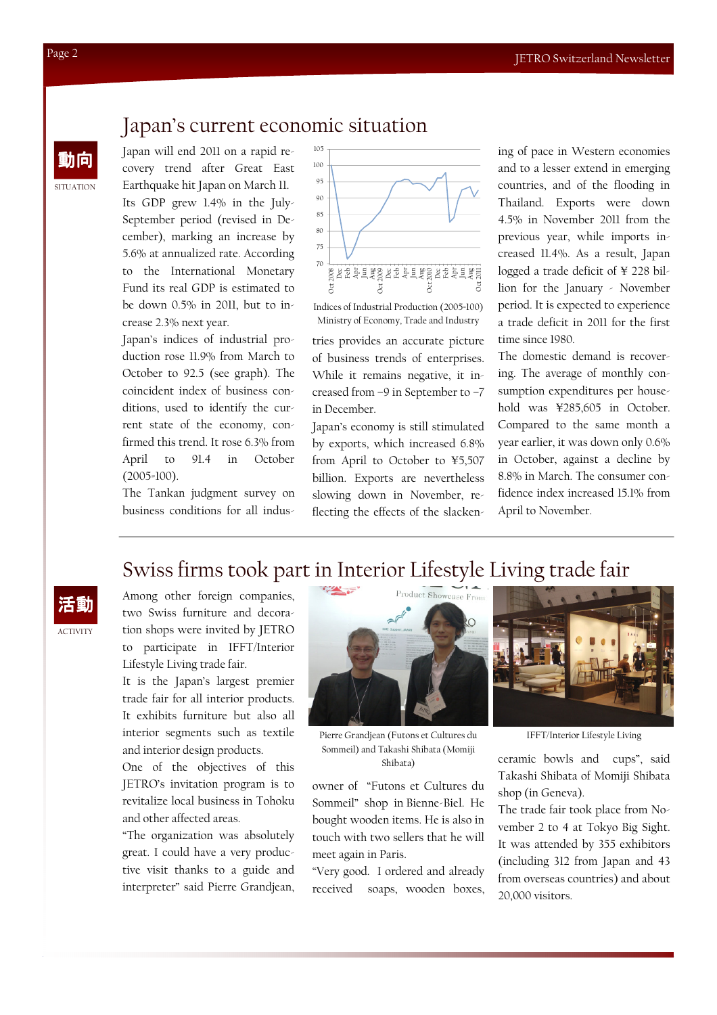#### Japan's current economic situation

Japan will end 2011 on a rapid recovery trend after Great East Earthquake hit Japan on March 11. Its GDP grew 1.4% in the July-September period (revised in December), marking an increase by 5.6% at annualized rate. According to the International Monetary Fund its real GDP is estimated to be down 0.5% in 2011, but to increase 2.3% next year.

Japan's indices of industrial production rose 11.9% from March to October to 92.5 (see graph). The coincident index of business conditions, used to identify the current state of the economy, confirmed this trend. It rose 6.3% from April to 91.4 in October (2005=100).

The Tankan judgment survey on business conditions for all indus-



Indices of Industrial Production (2005=100) Ministry of Economy, Trade and Industry

tries provides an accurate picture of business trends of enterprises. While it remains negative, it increased from –9 in September to –7 in December.

Japan's economy is still stimulated by exports, which increased 6.8% from April to October to ¥5,507 billion. Exports are nevertheless slowing down in November, reflecting the effects of the slackening of pace in Western economies and to a lesser extend in emerging countries, and of the flooding in Thailand. Exports were down 4.5% in November 2011 from the previous year, while imports increased 11.4%. As a result, Japan logged a trade deficit of ¥ 228 billion for the January - November period. It is expected to experience a trade deficit in 2011 for the first time since 1980.

The domestic demand is recovering. The average of monthly consumption expenditures per household was ¥285,605 in October. Compared to the same month a year earlier, it was down only 0.6% in October, against a decline by 8.8% in March. The consumer confidence index increased 15.1% from April to November.

# Swiss firms took part in Interior Lifestyle Living trade fair



Among other foreign companies, two Swiss furniture and decoration shops were invited by JETRO to participate in IFFT/Interior Lifestyle Living trade fair.

It is the Japan's largest premier trade fair for all interior products. It exhibits furniture but also all interior segments such as textile and interior design products.

One of the objectives of this JETRO's invitation program is to revitalize local business in Tohoku and other affected areas.

"The organization was absolutely great. I could have a very productive visit thanks to a guide and interpreter" said Pierre Grandjean,



Pierre Grandjean (Futons et Cultures du Sommeil) and Takashi Shibata (Momiji Shibata)

owner of "Futons et Cultures du Sommeil" shop in Bienne-Biel. He bought wooden items. He is also in touch with two sellers that he will meet again in Paris.

"Very good. I ordered and already received soaps, wooden boxes,



IFFT/Interior Lifestyle Living

ceramic bowls and cups", said Takashi Shibata of Momiji Shibata shop (in Geneva).

The trade fair took place from November 2 to 4 at Tokyo Big Sight. It was attended by 355 exhibitors (including 312 from Japan and 43 from overseas countries) and about 20,000 visitors.

**SITUATION** 

動向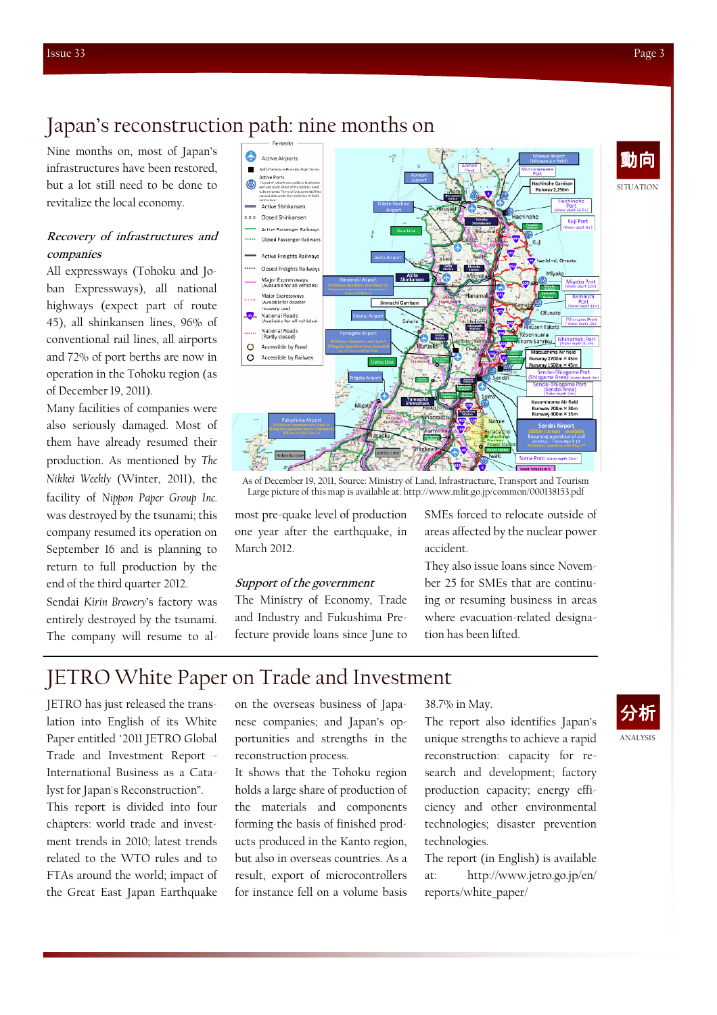動向

# Japan's reconstruction path: nine months on

Nine months on, most of Japan's infrastructures have been restored, but a lot still need to be done to revitalize the local economy.

#### Recovery of infrastructures and companies

All expressways (Tohoku and Joban Expressways), all national highways (expect part of route 45), all shinkansen lines, 96% of conventional rail lines, all airports and 72% of port berths are now in operation in the Tohoku region (as of December 19, 2011).

Many facilities of companies were also seriously damaged. Most of them have already resumed their production. As mentioned by The Nikkei Weekly (Winter, 2011), the facility of Nippon Paper Group Inc. was destroyed by the tsunami; this company resumed its operation on September 16 and is planning to return to full production by the end of the third quarter 2012.

Sendai Kirin Brewery's factory was entirely destroyed by the tsunami. The company will resume to al-



As of December 19, 2011, Source: Ministry of Land, Infrastructure, Transport and Tourism Large picture of this map is available at: http://www.mlit.go.jp/common/000138153.pdf

most pre-quake level of production one year after the earthquake, in March 2012.

#### Support of the government

The Ministry of Economy, Trade and Industry and Fukushima Prefecture provide loans since June to SMEs forced to relocate outside of areas affected by the nuclear power accident.

They also issue loans since November 25 for SMEs that are continuing or resuming business in areas where evacuation-related designation has been lifted.

## JETRO White Paper on Trade and Investment

JETRO has just released the translation into English of its White Paper entitled "2011 JETRO Global Trade and Investment Report - International Business as a Catalyst for Japan's Reconstruction".

This report is divided into four chapters: world trade and investment trends in 2010; latest trends related to the WTO rules and to FTAs around the world; impact of the Great East Japan Earthquake

on the overseas business of Japanese companies; and Japan's opportunities and strengths in the reconstruction process.

It shows that the Tohoku region holds a large share of production of the materials and components forming the basis of finished products produced in the Kanto region, but also in overseas countries. As a result, export of microcontrollers for instance fell on a volume basis

#### 38.7% in May.

The report also identifies Japan's unique strengths to achieve a rapid reconstruction: capacity for research and development; factory production capacity; energy efficiency and other environmental technologies; disaster prevention technologies.

The report (in English) is available at: http://www.jetro.go.jp/en/ reports/white\_paper/

ANALYSIS 分析